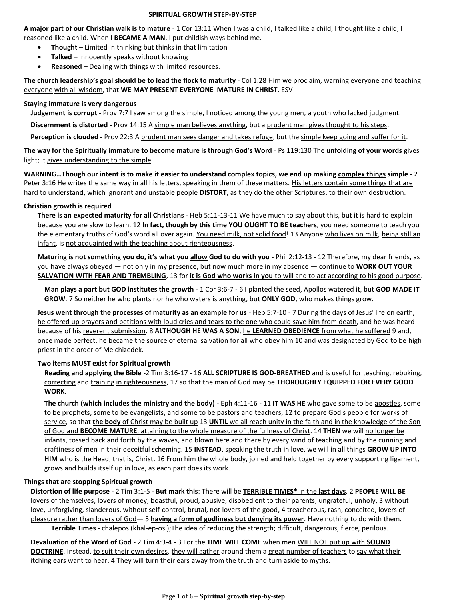#### **SPIRITUAL GROWTH STEP-BY-STEP**

**A major part of our Christian walk is to mature** - 1 Cor 13:11 When I was a child, I talked like a child, I thought like a child, I reasoned like a child. When I **BECAME A MAN**, I put childish ways behind me.

- **Thought** Limited in thinking but thinks in that limitation
- **Talked** Innocently speaks without knowing
- **Reasoned** Dealing with things with limited resources.

**The church leadership's goal should be to lead the flock to maturity** - Col 1:28 Him we proclaim, warning everyone and teaching everyone with all wisdom, that **WE MAY PRESENT EVERYONE MATURE IN CHRIST**. ESV

### **Staying immature is very dangerous**

**Judgement is corrupt** - Prov 7:7 I saw among the simple, I noticed among the young men, a youth who lacked judgment.

**Discernment is distorted** - Prov 14:15 A simple man believes anything, but a prudent man gives thought to his steps.

Perception is clouded - Prov 22:3 A prudent man sees danger and takes refuge, but the simple keep going and suffer for it.

**The way for the Spiritually immature to become mature is through God's Word** - Ps 119:130 The **unfolding of your words** gives light; it gives understanding to the simple.

**WARNING…Though our intent is to make it easier to understand complex topics, we end up making complex things simple** - 2 Peter 3:16 He writes the same way in all his letters, speaking in them of these matters. His letters contain some things that are hard to understand, which ignorant and unstable people **DISTORT**, as they do the other Scriptures, to their own destruction.

### **Christian growth is required**

**There is an expected maturity for all Christians** - Heb 5:11-13-11 We have much to say about this, but it is hard to explain because you are slow to learn. 12 **In fact, though by this time YOU OUGHT TO BE teachers**, you need someone to teach you the elementary truths of God's word all over again. You need milk, not solid food! 13 Anyone who lives on milk, being still an infant, is not acquainted with the teaching about righteousness.

**Maturing is not something you do, it's what you allow God to do with you** - Phil 2:12-13 - 12 Therefore, my dear friends, as you have always obeyed — not only in my presence, but now much more in my absence — continue to **WORK OUT YOUR SALVATION WITH FEAR AND TREMBLING**, 13 for **it is God who works in you** to will and to act according to his good purpose.

**Man plays a part but GOD institutes the growth** - 1 Cor 3:6-7 - 6 I planted the seed, Apollos watered it, but **GOD MADE IT GROW**. 7 So neither he who plants nor he who waters is anything, but **ONLY GOD**, who makes things grow.

**Jesus went through the processes of maturity as an example for us** - Heb 5:7-10 - 7 During the days of Jesus' life on earth, he offered up prayers and petitions with loud cries and tears to the one who could save him from death, and he was heard because of his reverent submission. 8 **ALTHOUGH HE WAS A SON**, he **LEARNED OBEDIENCE** from what he suffered 9 and, once made perfect, he became the source of eternal salvation for all who obey him 10 and was designated by God to be high priest in the order of Melchizedek.

### **Two items MUST exist for Spiritual growth**

**Reading and applying the Bible** -2 Tim 3:16-17 - 16 **ALL SCRIPTURE IS GOD-BREATHED** and is useful for teaching, rebuking, correcting and training in righteousness, 17 so that the man of God may be **THOROUGHLY EQUIPPED FOR EVERY GOOD WORK**.

**The church (which includes the ministry and the body)** - Eph 4:11-16 - 11 **IT WAS HE** who gave some to be apostles, some to be prophets, some to be evangelists, and some to be pastors and teachers, 12 to prepare God's people for works of service, so that **the body** of Christ may be built up 13 **UNTIL** we all reach unity in the faith and in the knowledge of the Son of God and **BECOME MATURE**, attaining to the whole measure of the fullness of Christ. 14 **THEN** we will no longer be infants, tossed back and forth by the waves, and blown here and there by every wind of teaching and by the cunning and craftiness of men in their deceitful scheming. 15 **INSTEAD**, speaking the truth in love, we will in all things **GROW UP INTO HIM** who is the Head, that is, Christ. 16 From him the whole body, joined and held together by every supporting ligament, grows and builds itself up in love, as each part does its work.

# **Things that are stopping Spiritual growth**

**Distortion of life purpose** - 2 Tim 3:1-5 - **But mark this**: There will be **TERRIBLE TIMES\*** in the **last days**. 2 **PEOPLE WILL BE** lovers of themselves, lovers of money, boastful, proud, abusive, disobedient to their parents, ungrateful, unholy, 3 without love, unforgiving, slanderous, without self-control, brutal, not lovers of the good, 4 treacherous, rash, conceited, lovers of pleasure rather than lovers of God— 5 **having a form of godliness but denying its power**. Have nothing to do with them. **Terrible Times** - chalepos (khal-ep-os');The idea of reducing the strength; difficult, dangerous, fierce, perilous.

**Devaluation of the Word of God** - 2 Tim 4:3-4 - 3 For the **TIME WILL COME** when men WILL NOT put up with **SOUND DOCTRINE**. Instead, to suit their own desires, they will gather around them a great number of teachers to say what their itching ears want to hear. 4 They will turn their ears away from the truth and turn aside to myths.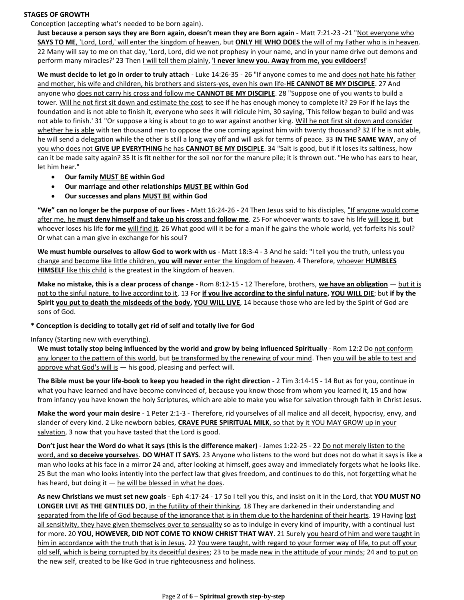#### **STAGES OF GROWTH**

Conception (accepting what's needed to be born again).

**Just because a person says they are Born again, doesn't mean they are Born again** - Matt 7:21-23 -21 "Not everyone who **SAYS TO ME**, 'Lord, Lord,' will enter the kingdom of heaven, but **ONLY HE WHO DOES** the will of my Father who is in heaven. 22 Many will say to me on that day, 'Lord, Lord, did we not prophesy in your name, and in your name drive out demons and perform many miracles?' 23 Then *I will tell them plainly*, '*I never knew you. Away from me, you evildoers!*'

**We must decide to let go in order to truly attach** - Luke 14:26-35 - 26 "If anyone comes to me and does not hate his father and mother, his wife and children, his brothers and sisters-yes, even his own life-**HE CANNOT BE MY DISCIPLE**. 27 And anyone who does not carry his cross and follow me **CANNOT BE MY DISCIPLE**. 28 "Suppose one of you wants to build a tower. Will he not first sit down and estimate the cost to see if he has enough money to complete it? 29 For if he lays the foundation and is not able to finish it, everyone who sees it will ridicule him, 30 saying, 'This fellow began to build and was not able to finish.' 31 "Or suppose a king is about to go to war against another king. Will he not first sit down and consider whether he is able with ten thousand men to oppose the one coming against him with twenty thousand? 32 If he is not able, he will send a delegation while the other is still a long way off and will ask for terms of peace. 33 **IN THE SAME WAY**, any of you who does not **GIVE UP EVERYTHING** he has **CANNOT BE MY DISCIPLE**. 34 "Salt is good, but if it loses its saltiness, how can it be made salty again? 35 It is fit neither for the soil nor for the manure pile; it is thrown out. "He who has ears to hear, let him hear."

- **Our family MUST BE within God**
- **Our marriage and other relationships MUST BE within God**
- **Our successes and plans MUST BE within God**

**"We" can no longer be the purpose of our lives** - Matt 16:24-26 - 24 Then Jesus said to his disciples, "If anyone would come after me, he **must deny himself** and **take up his cross** and **follow me**. 25 For whoever wants to save his life will lose it, but whoever loses his life **for me** will find it. 26 What good will it be for a man if he gains the whole world, yet forfeits his soul? Or what can a man give in exchange for his soul?

**We must humble ourselves to allow God to work with us** - Matt 18:3-4 - 3 And he said: "I tell you the truth, unless you change and become like little children, **you will never** enter the kingdom of heaven. 4 Therefore, whoever **HUMBLES HIMSELF** like this child is the greatest in the kingdom of heaven.

**Make no mistake, this is a clear process of change** - Rom 8:12-15 - 12 Therefore, brothers, **we have an obligation** — but it is not to the sinful nature, to live according to it. 13 For **if you live according to the sinful nature, YOU WILL DIE**; but **if by the Spirit you put to death the misdeeds of the body, YOU WILL LIVE**, 14 because those who are led by the Spirit of God are sons of God.

### **\* Conception is deciding to totally get rid of self and totally live for God**

Infancy (Starting new with everything).

We must totally stop being influenced by the world and grow by being influenced Spiritually - Rom 12:2 Do not conform any longer to the pattern of this world, but be transformed by the renewing of your mind. Then you will be able to test and approve what God's will is — his good, pleasing and perfect will.

**The Bible must be your life-book to keep you headed in the right direction** - 2 Tim 3:14-15 - 14 But as for you, continue in what you have learned and have become convinced of, because you know those from whom you learned it, 15 and how from infancy you have known the holy Scriptures, which are able to make you wise for salvation through faith in Christ Jesus.

**Make the word your main desire** - 1 Peter 2:1-3 - Therefore, rid yourselves of all malice and all deceit, hypocrisy, envy, and slander of every kind. 2 Like newborn babies, **CRAVE PURE SPIRITUAL MILK**, so that by it YOU MAY GROW up in your salvation, 3 now that you have tasted that the Lord is good.

**Don't just hear the Word do what it says (this is the difference maker)** - James 1:22-25 - 22 Do not merely listen to the word, and **so deceive yourselve**s. **DO WHAT IT SAYS**. 23 Anyone who listens to the word but does not do what it says is like a man who looks at his face in a mirror 24 and, after looking at himself, goes away and immediately forgets what he looks like. 25 But the man who looks intently into the perfect law that gives freedom, and continues to do this, not forgetting what he has heard, but doing it  $-$  he will be blessed in what he does.

**As new Christians we must set new goals** - Eph 4:17-24 - 17 So I tell you this, and insist on it in the Lord, that **YOU MUST NO LONGER LIVE AS THE GENTILES DO**, in the futility of their thinking. 18 They are darkened in their understanding and separated from the life of God because of the ignorance that is in them due to the hardening of their hearts. 19 Having lost all sensitivity, they have given themselves over to sensuality so as to indulge in every kind of impurity, with a continual lust for more. 20 **YOU, HOWEVER, DID NOT COME TO KNOW CHRIST THAT WAY**. 21 Surely you heard of him and were taught in him in accordance with the truth that is in Jesus. 22 You were taught, with regard to your former way of life, to put off your old self, which is being corrupted by its deceitful desires; 23 to be made new in the attitude of your minds; 24 and to put on the new self, created to be like God in true righteousness and holiness.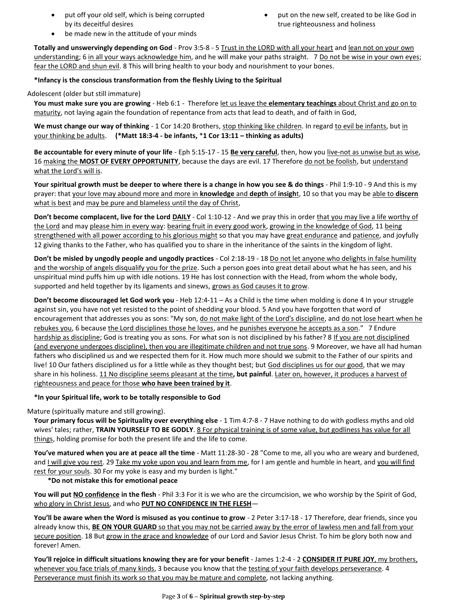- put off your old self, which is being corrupted by its deceitful desires
- put on the new self, created to be like God in true righteousness and holiness

be made new in the attitude of your minds

**Totally and unswervingly depending on God** - Prov 3:5-8 - 5 Trust in the LORD with all your heart and lean not on your own understanding; 6 in all your ways acknowledge him, and he will make your paths straight. 7 Do not be wise in your own eyes; fear the LORD and shun evil. 8 This will bring health to your body and nourishment to your bones.

### **\*Infancy is the conscious transformation from the fleshly Living to the Spiritual**

### Adolescent (older but still immature)

**You must make sure you are growing** - Heb 6:1 - Therefore let us leave the **elementary teachings** about Christ and go on to maturity, not laying again the foundation of repentance from acts that lead to death, and of faith in God,

We must change our way of thinking - 1 Cor 14:20 Brothers, stop thinking like children. In regard to evil be infants, but in your thinking be adults. **(\*Matt 18:3-4 - be infants,** \***1 Cor 13:11 – thinking as adults)**

**Be accountable for every minute of your life** - Eph 5:15-17 - 15 **Be very careful**, then, how you live-not as unwise but as wise, 16 making the **MOST OF EVERY OPPORTUNITY**, because the days are evil. 17 Therefore do not be foolish, but understand what the Lord's will is.

**Your spiritual growth must be deeper to where there is a change in how you see & do things** - Phil 1:9-10 - 9 And this is my prayer: that your love may abound more and more in **knowledge** and **depth** of **insigh**t, 10 so that you may be able to **discern** what is best and may be pure and blameless until the day of Christ,

**Don't become complacent, live for the Lord DAILY** - Col 1:10-12 - And we pray this in order that you may live a life worthy of the Lord and may please him in every way: bearing fruit in every good work, growing in the knowledge of God, 11 being strengthened with all power according to his glorious might so that you may have great endurance and patience, and joyfully 12 giving thanks to the Father, who has qualified you to share in the inheritance of the saints in the kingdom of light.

**Don't be misled by ungodly people and ungodly practices** - Col 2:18-19 - 18 Do not let anyone who delights in false humility and the worship of angels disqualify you for the prize. Such a person goes into great detail about what he has seen, and his unspiritual mind puffs him up with idle notions. 19 He has lost connection with the Head, from whom the whole body, supported and held together by its ligaments and sinews, grows as God causes it to grow.

**Don't become discouraged let God work you** - Heb 12:4-11 – As a Child is the time when molding is done 4 In your struggle against sin, you have not yet resisted to the point of shedding your blood. 5 And you have forgotten that word of encouragement that addresses you as sons: "My son, do not make light of the Lord's discipline, and do not lose heart when he rebukes you, 6 because the Lord disciplines those he loves, and he punishes everyone he accepts as a son." 7 Endure hardship as discipline; God is treating you as sons. For what son is not disciplined by his father? 8 If you are not disciplined (and everyone undergoes discipline), then you are illegitimate children and not true sons. 9 Moreover, we have all had human fathers who disciplined us and we respected them for it. How much more should we submit to the Father of our spirits and live! 10 Our fathers disciplined us for a little while as they thought best; but God disciplines us for our good, that we may share in his holiness. 11 No discipline seems pleasant at the time**, but painful**. Later on, however, it produces a harvest of righteousness and peace for those **who have been trained by it**.

### **\*In your Spiritual life, work to be totally responsible to God**

Mature (spiritually mature and still growing).

**Your primary focus will be Spirituality over everything else** - 1 Tim 4:7-8 - 7 Have nothing to do with godless myths and old wives' tales; rather, **TRAIN YOURSELF TO BE GODLY**. 8 For physical training is of some value, but godliness has value for all things, holding promise for both the present life and the life to come.

**You've matured when you are at peace all the time** - Matt 11:28-30 - 28 "Come to me, all you who are weary and burdened, and I will give you rest. 29 Take my yoke upon you and learn from me, for I am gentle and humble in heart, and you will find rest for your souls. 30 For my yoke is easy and my burden is light."

### **\*Do not mistake this for emotional peace**

**You will put NO confidence in the flesh** - Phil 3:3 For it is we who are the circumcision, we who worship by the Spirit of God, who glory in Christ Jesus, and who **PUT NO CONFIDENCE IN THE FLESH**—

**You'll be aware when the Word is misused as you continue to grow** - 2 Peter 3:17-18 - 17 Therefore, dear friends, since you already know this, **BE ON YOUR GUARD** so that you may not be carried away by the error of lawless men and fall from your secure position. 18 But grow in the grace and knowledge of our Lord and Savior Jesus Christ. To him be glory both now and forever! Amen.

**You'll rejoice in difficult situations knowing they are for your benefit** - James 1:2-4 - 2 **CONSIDER IT PURE JOY**, my brothers, whenever you face trials of many kinds, 3 because you know that the testing of your faith develops perseverance. 4 Perseverance must finish its work so that you may be mature and complete, not lacking anything.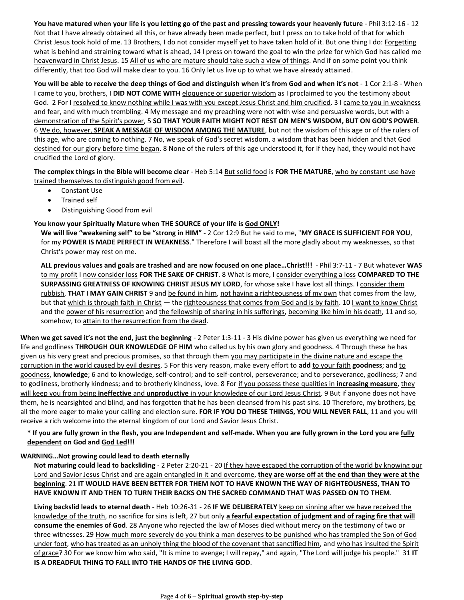**You have matured when your life is you letting go of the past and pressing towards your heavenly future** - Phil 3:12-16 - 12 Not that I have already obtained all this, or have already been made perfect, but I press on to take hold of that for which Christ Jesus took hold of me. 13 Brothers, I do not consider myself yet to have taken hold of it. But one thing I do: Forgetting what is behind and straining toward what is ahead, 14 I press on toward the goal to win the prize for which God has called me heavenward in Christ Jesus. 15 All of us who are mature should take such a view of things. And if on some point you think differently, that too God will make clear to you. 16 Only let us live up to what we have already attained.

**You will be able to receive the deep things of God and distinguish when it's from God and when it's not** - 1 Cor 2:1-8 - When I came to you, brothers, I **DID NOT COME WITH** eloquence or superior wisdom as I proclaimed to you the testimony about God. 2 For I resolved to know nothing while I was with you except Jesus Christ and him crucified. 3 I came to you in weakness and fear, and with much trembling. 4 My message and my preaching were not with wise and persuasive words, but with a demonstration of the Spirit's power, 5 **SO THAT YOUR FAITH MIGHT NOT REST ON MEN'S WISDOM, BUT ON GOD'S POWER**. 6 We do, however, **SPEAK A MESSAGE OF WISDOM AMONG THE MATURE**, but not the wisdom of this age or of the rulers of this age, who are coming to nothing. 7 No, we speak of God's secret wisdom, a wisdom that has been hidden and that God destined for our glory before time began. 8 None of the rulers of this age understood it, for if they had, they would not have crucified the Lord of glory.

**The complex things in the Bible will become clear** - Heb 5:14 But solid food is **FOR THE MATURE**, who by constant use have trained themselves to distinguish good from evil.

- Constant Use
- Trained self
- Distinguishing Good from evil

### **You know your Spiritually Mature when THE SOURCE of your life is God ONLY!**

**We will live "weakening self" to be "strong in HIM"** - 2 Cor 12:9 But he said to me, "**MY GRACE IS SUFFICIENT FOR YOU**, for my **POWER IS MADE PERFECT IN WEAKNESS**." Therefore I will boast all the more gladly about my weaknesses, so that Christ's power may rest on me.

**ALL previous values and goals are trashed and are now focused on one place…Christ!!!** - Phil 3:7-11 - 7 But whatever **WAS** to my profit I now consider loss **FOR THE SAKE OF CHRIST**. 8 What is more, I consider everything a loss **COMPARED TO THE SURPASSING GREATNESS OF KNOWING CHRIST JESUS MY LORD**, for whose sake I have lost all things. I consider them rubbish, **THAT I MAY GAIN CHRIST** 9 and be found in him, not having a righteousness of my own that comes from the law, but that which is through faith in Christ — the righteousness that comes from God and is by faith. 10 I want to know Christ and the power of his resurrection and the fellowship of sharing in his sufferings, becoming like him in his death, 11 and so, somehow, to attain to the resurrection from the dead.

**When we get saved it's not the end, just the beginning** - 2 Peter 1:3-11 - 3 His divine power has given us everything we need for life and godliness **THROUGH OUR KNOWLEDGE OF HIM** who called us by his own glory and goodness. 4 Through these he has given us his very great and precious promises, so that through them you may participate in the divine nature and escape the corruption in the world caused by evil desires. 5 For this very reason, make every effort to add to your faith goodness; and to goodness, **knowledge**; 6 and to knowledge, self-control; and to self-control, perseverance; and to perseverance, godliness; 7 and to godliness, brotherly kindness; and to brotherly kindness, love. 8 For if you possess these qualities in **increasing measure**, they will keep you from being **ineffective** and **unproductive** in your knowledge of our Lord Jesus Christ. 9 But if anyone does not have them, he is nearsighted and blind, and has forgotten that he has been cleansed from his past sins. 10 Therefore, my brothers, be all the more eager to make your calling and election sure. **FOR IF YOU DO THESE THINGS, YOU WILL NEVER FALL**, 11 and you will receive a rich welcome into the eternal kingdom of our Lord and Savior Jesus Christ.

# **\* If you are fully grown in the flesh, you are Independent and self-made. When you are fully grown in the Lord you are fully dependent on God and God Led!!!**

### **WARNING…Not growing could lead to death eternally**

**Not maturing could lead to backsliding** - 2 Peter 2:20-21 - 20 If they have escaped the corruption of the world by knowing our Lord and Savior Jesus Christ and are again entangled in it and overcome, **they are worse off at the end than they were at the beginning**. 21 **IT WOULD HAVE BEEN BETTER FOR THEM NOT TO HAVE KNOWN THE WAY OF RIGHTEOUSNESS, THAN TO HAVE KNOWN IT AND THEN TO TURN THEIR BACKS ON THE SACRED COMMAND THAT WAS PASSED ON TO THEM**.

**Living backslid leads to eternal death** - Heb 10:26-31 - 26 **IF WE DELIBERATELY** keep on sinning after we have received the knowledge of the truth, no sacrifice for sins is left, 27 but only **a fearful expectation of judgment and of raging fire that will consume the enemies of God**. 28 Anyone who rejected the law of Moses died without mercy on the testimony of two or three witnesses. 29 How much more severely do you think a man deserves to be punished who has trampled the Son of God under foot, who has treated as an unholy thing the blood of the covenant that sanctified him, and who has insulted the Spirit of grace? 30 For we know him who said, "It is mine to avenge; I will repay," and again, "The Lord will judge his people." 31 **IT IS A DREADFUL THING TO FALL INTO THE HANDS OF THE LIVING GOD**.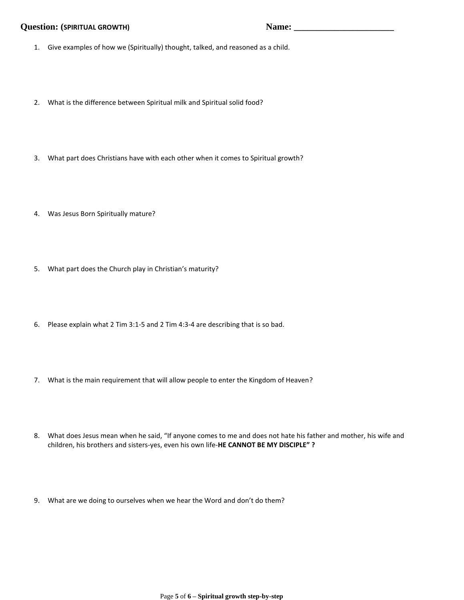# **Question: (SPIRITUAL GROWTH) Name: \_\_\_\_\_\_\_\_\_\_\_\_\_\_\_\_\_\_\_\_\_\_**

- 1. Give examples of how we (Spiritually) thought, talked, and reasoned as a child.
- 2. What is the difference between Spiritual milk and Spiritual solid food?
- 3. What part does Christians have with each other when it comes to Spiritual growth?
- 4. Was Jesus Born Spiritually mature?
- 5. What part does the Church play in Christian's maturity?
- 6. Please explain what 2 Tim 3:1-5 and 2 Tim 4:3-4 are describing that is so bad.
- 7. What is the main requirement that will allow people to enter the Kingdom of Heaven?
- 8. What does Jesus mean when he said, "If anyone comes to me and does not hate his father and mother, his wife and children, his brothers and sisters-yes, even his own life-**HE CANNOT BE MY DISCIPLE" ?**
- 9. What are we doing to ourselves when we hear the Word and don't do them?